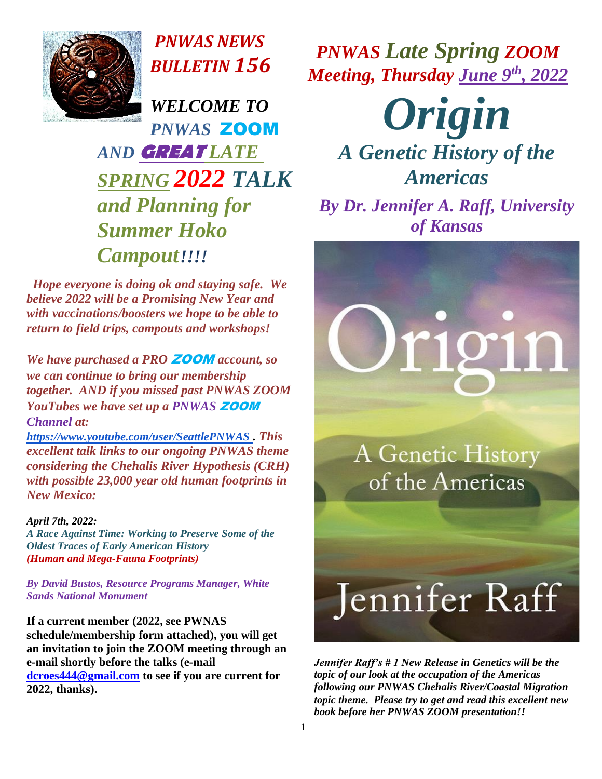

*PNWAS NEWS BULLETIN 156*

*WELCOME TO PNWAS* ZOOM *AND* **GREAT** *LATE SPRING 2022 TALK and Planning for Summer Hoko Campout!!!!*

 *Hope everyone is doing ok and staying safe. We believe 2022 will be a Promising New Year and with vaccinations/boosters we hope to be able to return to field trips, campouts and workshops!*

*We have purchased a PRO* ZOOM *account, so we can continue to bring our membership together. AND if you missed past PNWAS ZOOM YouTubes we have set up a PNWAS* ZOOM *Channel at:* 

*<https://www.youtube.com/user/SeattlePNWAS> . This excellent talk links to our ongoing PNWAS theme considering the Chehalis River Hypothesis (CRH) with possible 23,000 year old human footprints in New Mexico:* 

### *April 7th, 2022:*

*A Race Against Time: Working to Preserve Some of the Oldest Traces of Early American History (Human and Mega-Fauna Footprints)*

*By David Bustos, Resource Programs Manager, White Sands National Monument*

**If a current member (2022, see PWNAS schedule/membership form attached), you will get an invitation to join the ZOOM meeting through an e-mail shortly before the talks (e-mail [dcroes444@gmail.com](mailto:dcroes444@gmail.com) to see if you are current for 2022, thanks).**

*PNWAS Late Spring ZOOM Meeting, Thursday June 9th, 2022*

*Origin* 

*A Genetic History of the Americas*

*By Dr. Jennifer A. Raff, University of Kansas*

# r1911

A Genetic History of the Americas

## Jennifer Raff

*Jennifer Raff's # 1 New Release in Genetics will be the topic of our look at the occupation of the Americas following our PNWAS Chehalis River/Coastal Migration topic theme. Please try to get and read this excellent new book before her PNWAS ZOOM presentation!!*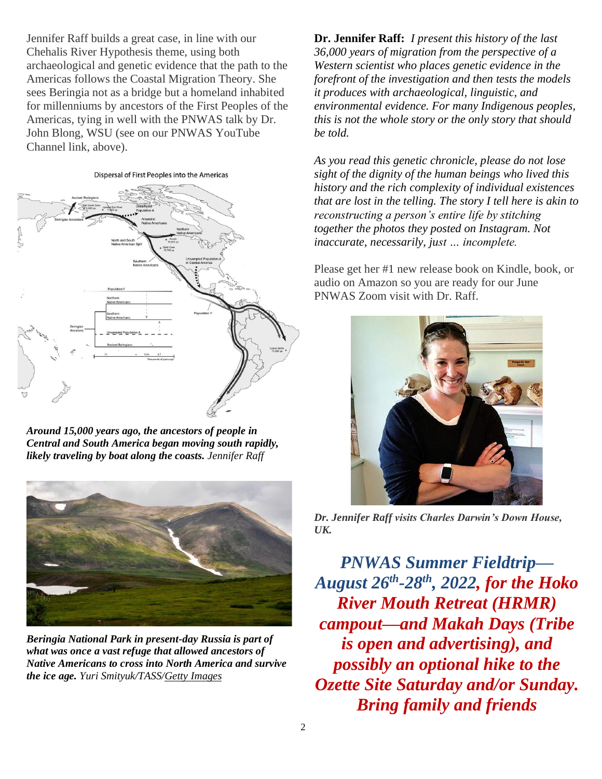Jennifer Raff builds a great case, in line with our Chehalis River Hypothesis theme, using both archaeological and genetic evidence that the path to the Americas follows the Coastal Migration Theory. She sees Beringia not as a bridge but a homeland inhabited for millenniums by ancestors of the First Peoples of the Americas, tying in well with the PNWAS talk by Dr. John Blong, WSU (see on our PNWAS YouTube Channel link, above).

#### Dispersal of First Peoples into the Americas



*Around 15,000 years ago, the ancestors of people in Central and South America began moving south rapidly, likely traveling by boat along the coasts. Jennifer Raff*



*Beringia National Park in present-day Russia is part of what was once a vast refuge that allowed ancestors of Native Americans to cross into North America and survive the ice age. Yuri Smityuk/TASS[/Getty Images](https://www.gettyimages.com/detail/news-photo/mountains-at-the-beringia-national-park-yuri-smityuk-tass-news-photo/1158373071?adppopup=true)*

**Dr. Jennifer Raff:** *I present this history of the last 36,000 years of migration from the perspective of a Western scientist who places genetic evidence in the forefront of the investigation and then tests the models it produces with archaeological, linguistic, and environmental evidence. For many Indigenous peoples, this is not the whole story or the only story that should be told.*

*As you read this genetic chronicle, please do not lose sight of the dignity of the human beings who lived this history and the rich complexity of individual existences that are lost in the telling. The story I tell here is akin to reconstructing a person's entire life by stitching together the photos they posted on Instagram. Not inaccurate, necessarily, just … incomplete.*

Please get her #1 new release book on Kindle, book, or audio on Amazon so you are ready for our June PNWAS Zoom visit with Dr. Raff.



*Dr. Jennifer Raff visits Charles Darwin's Down House, UK.*

*PNWAS Summer Fieldtrip— August 26th -28th, 2022, for the Hoko River Mouth Retreat (HRMR) campout—and Makah Days (Tribe is open and advertising), and possibly an optional hike to the Ozette Site Saturday and/or Sunday. Bring family and friends*